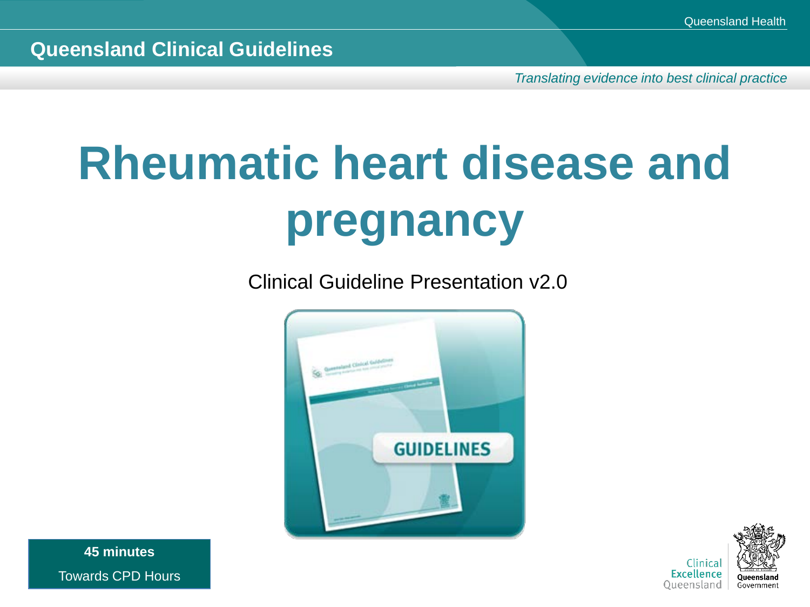*Translating evidence into best clinical practice*

# **Rheumatic heart disease and pregnancy**

Clinical Guideline Presentation v2.0





**45 minutes** Towards CPD Hours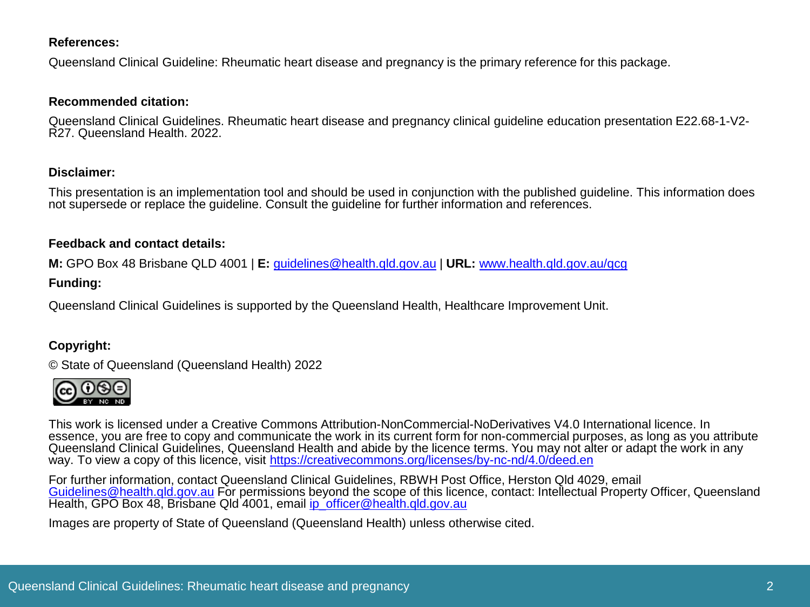#### **References:**

Queensland Clinical Guideline: Rheumatic heart disease and pregnancy is the primary reference for this package.

#### **Recommended citation:**

Queensland Clinical Guidelines. Rheumatic heart disease and pregnancy clinical guideline education presentation E22.68-1-V2-<br>R27. Queensland Health. 2022.

#### **Disclaimer:**

This presentation is an implementation tool and should be used in conjunction with the published guideline. This information does not supersede or replace the guideline. Consult the guideline for further information and references.

#### **Feedback and contact details:**

**M:** GPO Box 48 Brisbane QLD 4001 | **E:** [guidelines@health.qld.gov.au](mailto:guidelines@health.qld.gov.au) | **URL:** [www.health.qld.gov.au/qcg](http://www.health.qld.gov.au/qcg)

#### **Funding:**

Queensland Clinical Guidelines is supported by the Queensland Health, Healthcare Improvement Unit.

#### **Copyright:**

© State of Queensland (Queensland Health) 2022



This work is licensed under a Creative Commons Attribution-NonCommercial-NoDerivatives V4.0 International licence. In essence, you are free to copy and communicate the work in its current form for non-commercial purposes, as long as you attribute Queensland Clinical Guidelines, Queensland Health and abide by the licence terms. You may not alter or adapt the work in any way. To view a copy of this licence, visit <https://creativecommons.org/licenses/by-nc-nd/4.0/deed.en>

For further information, contact Queensland Clinical Guidelines, RBWH Post Office, Herston Qld 4029, email [Guidelines@health.qld.gov.au](mailto:Guidelines@health.qld.gov.au) For permissions beyond the scope of this licence, contact: Intellectual Property Officer, Queensland Health, GPO Box 48, Brisbane Qld 4001, email [ip\\_officer@health.qld.gov.au](mailto:ip_officer@health.qld.gov.au)

Images are property of State of Queensland (Queensland Health) unless otherwise cited.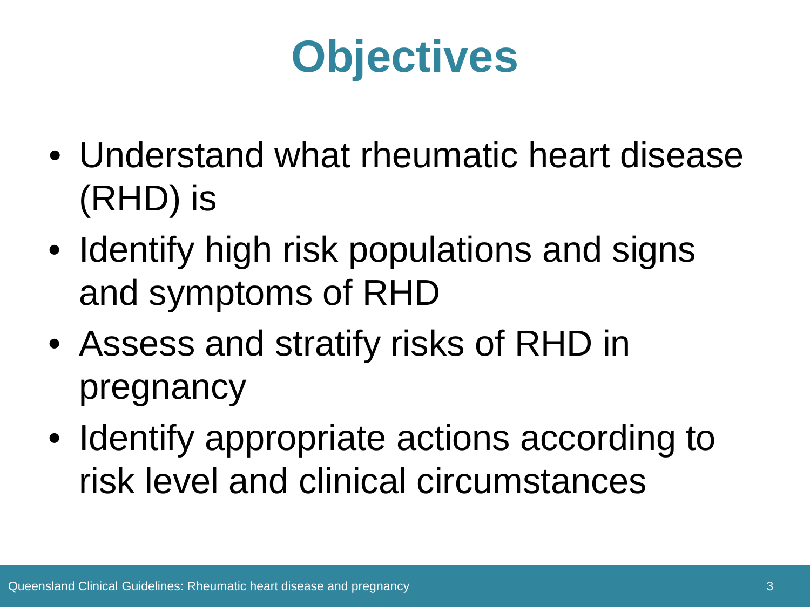## **Objectives**

- Understand what rheumatic heart disease (RHD) is
- Identify high risk populations and signs and symptoms of RHD
- Assess and stratify risks of RHD in pregnancy
- Identify appropriate actions according to risk level and clinical circumstances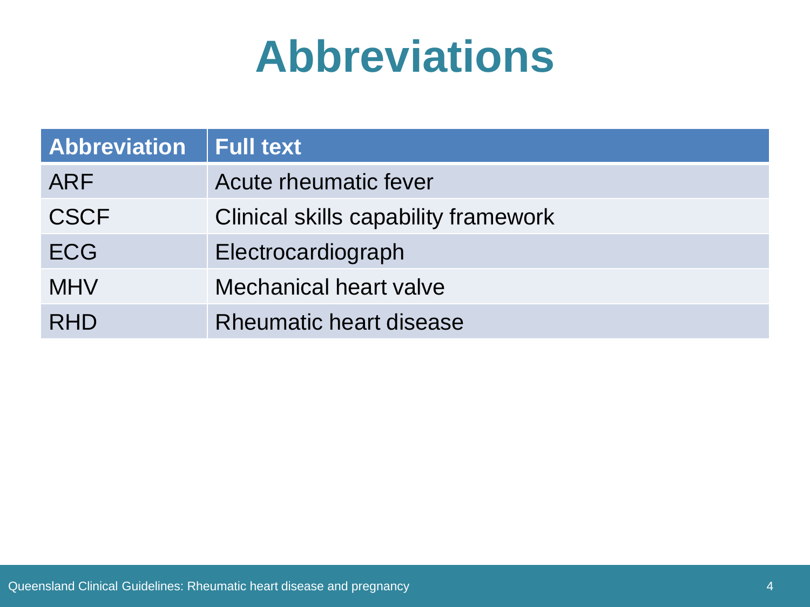## **Abbreviations**

| <b>Abbreviation</b> | <b>Full text</b>                     |
|---------------------|--------------------------------------|
| ARF                 | Acute rheumatic fever                |
| <b>CSCF</b>         | Clinical skills capability framework |
| <b>ECG</b>          | Electrocardiograph                   |
| <b>MHV</b>          | <b>Mechanical heart valve</b>        |
| <b>RHD</b>          | Rheumatic heart disease              |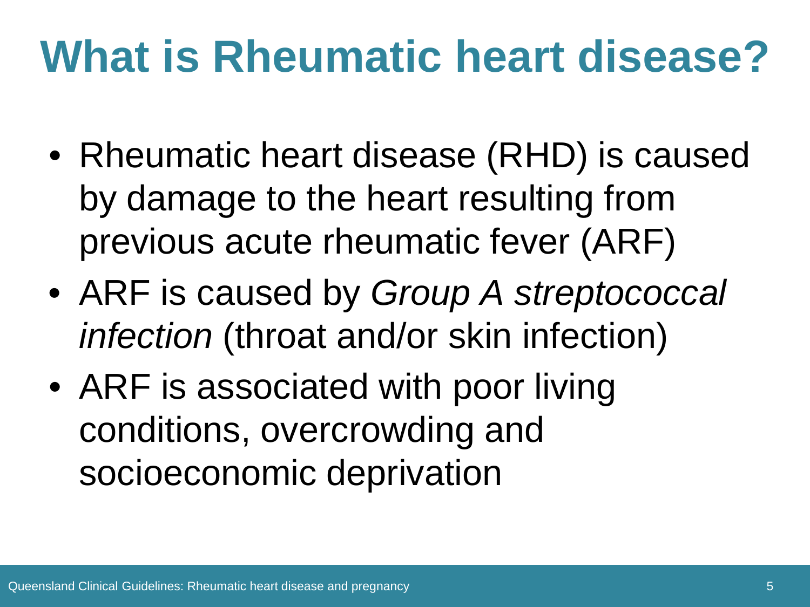## **What is Rheumatic heart disease?**

- Rheumatic heart disease (RHD) is caused by damage to the heart resulting from previous acute rheumatic fever (ARF)
- ARF is caused by *Group A streptococcal infection* (throat and/or skin infection)
- ARF is associated with poor living conditions, overcrowding and socioeconomic deprivation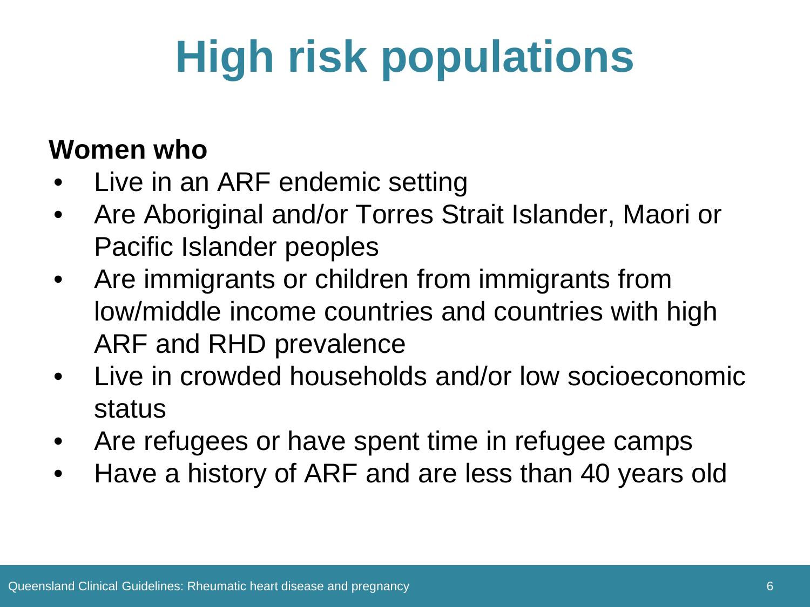# **High risk populations**

#### **Women who**

- Live in an ARF endemic setting
- Are Aboriginal and/or Torres Strait Islander, Maori or Pacific Islander peoples
- Are immigrants or children from immigrants from low/middle income countries and countries with high ARF and RHD prevalence
- Live in crowded households and/or low socioeconomic status
- Are refugees or have spent time in refugee camps
- Have a history of ARF and are less than 40 years old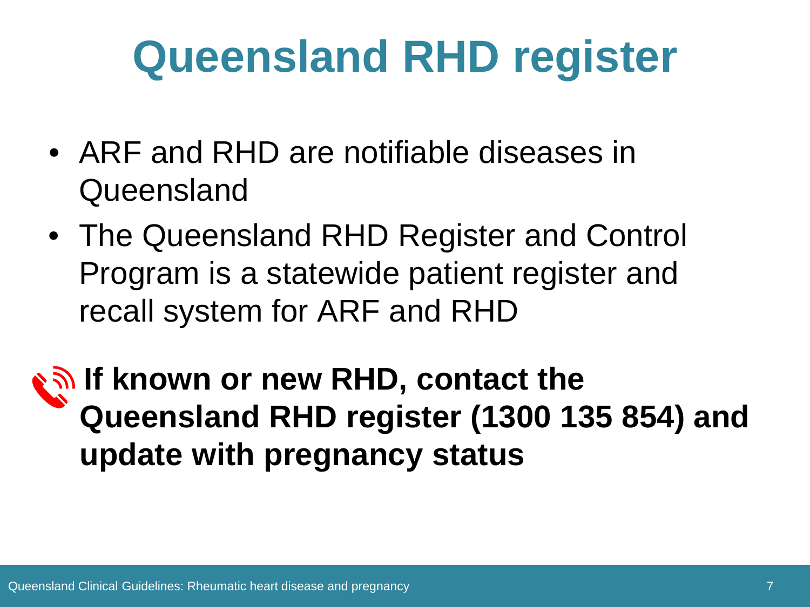## **Queensland RHD register**

- ARF and RHD are notifiable diseases in Queensland
- The Queensland RHD Register and Control Program is a statewide patient register and recall system for ARF and RHD
- **If known or new RHD, contact the Queensland RHD register (1300 135 854) and update with pregnancy status**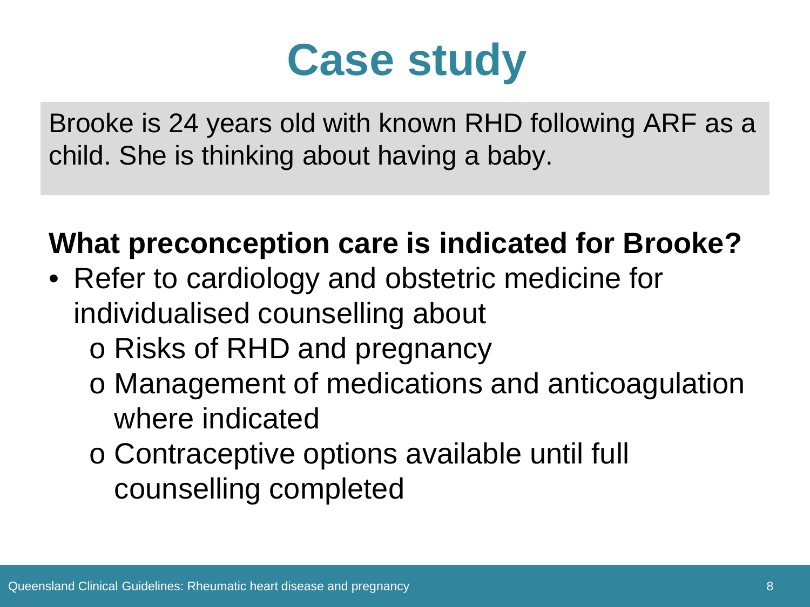### **Case study**

Brooke is 24 years old with known RHD following ARF as a child. She is thinking about having a baby.

### **What preconception care is indicated for Brooke?**

- Refer to cardiology and obstetric medicine for individualised counselling about
	- o Risks of RHD and pregnancy
	- o Management of medications and anticoagulation where indicated
	- o Contraceptive options available until full counselling completed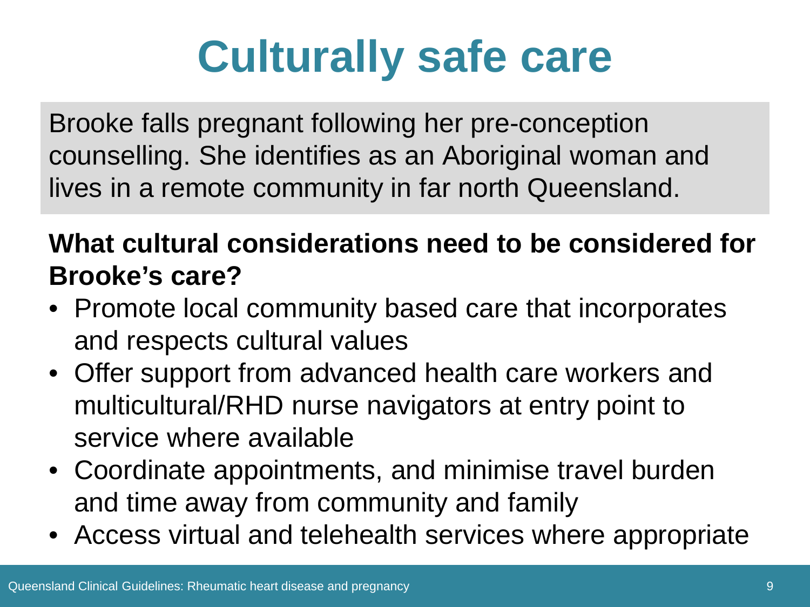# **Culturally safe care**

Brooke falls pregnant following her pre-conception counselling. She identifies as an Aboriginal woman and lives in a remote community in far north Queensland.

#### **What cultural considerations need to be considered for Brooke's care?**

- Promote local community based care that incorporates and respects cultural values
- Offer support from advanced health care workers and multicultural/RHD nurse navigators at entry point to service where available
- Coordinate appointments, and minimise travel burden and time away from community and family
- Access virtual and telehealth services where appropriate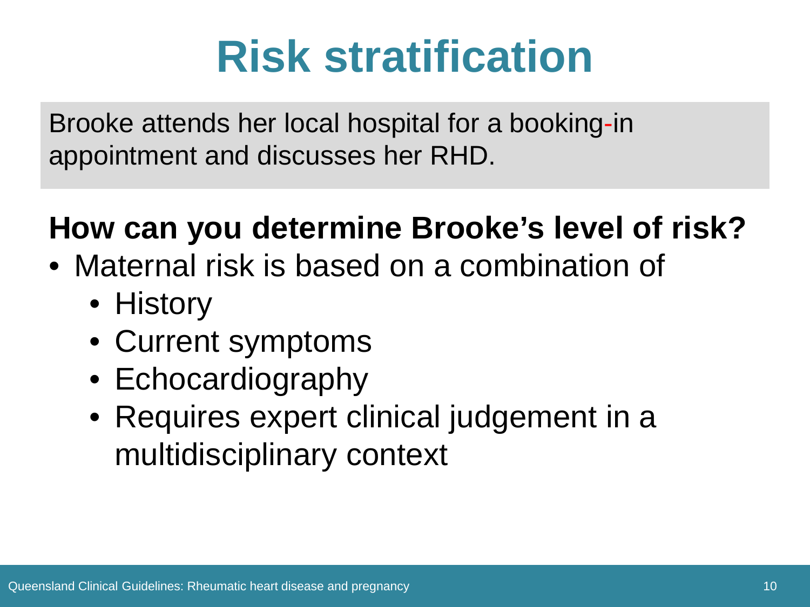## **Risk stratification**

Brooke attends her local hospital for a booking-in appointment and discusses her RHD.

### **How can you determine Brooke's level of risk?**

- Maternal risk is based on a combination of
	- History
	- Current symptoms
	- Echocardiography
	- Requires expert clinical judgement in a multidisciplinary context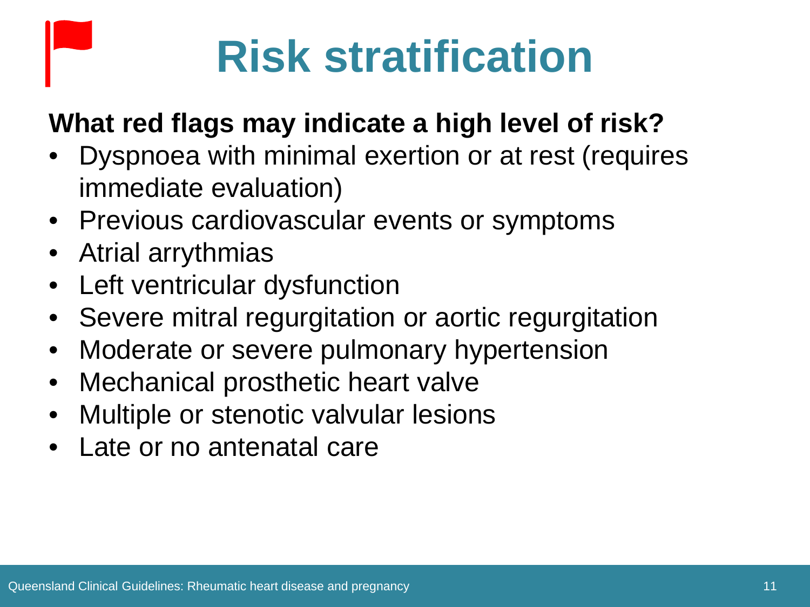# **Risk stratification**

### **What red flags may indicate a high level of risk?**

- Dyspnoea with minimal exertion or at rest (requires immediate evaluation)
- Previous cardiovascular events or symptoms
- Atrial arrythmias
- Left ventricular dysfunction
- Severe mitral regurgitation or aortic regurgitation
- Moderate or severe pulmonary hypertension
- Mechanical prosthetic heart valve
- Multiple or stenotic valvular lesions
- Late or no antenatal care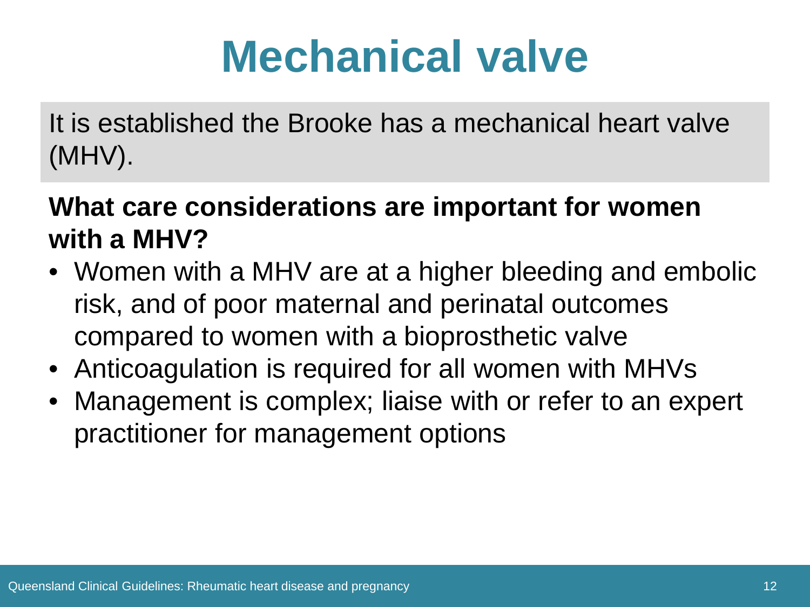## **Mechanical valve**

It is established the Brooke has a mechanical heart valve (MHV).

#### **What care considerations are important for women with a MHV?**

- Women with a MHV are at a higher bleeding and embolic risk, and of poor maternal and perinatal outcomes compared to women with a bioprosthetic valve
- Anticoagulation is required for all women with MHVs
- Management is complex; liaise with or refer to an expert practitioner for management options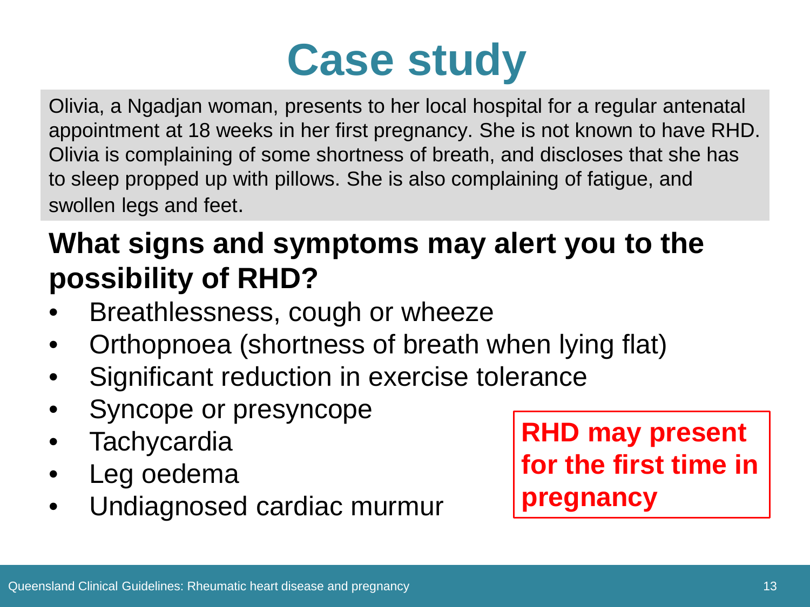## **Case study**

Olivia, a Ngadjan woman, presents to her local hospital for a regular antenatal appointment at 18 weeks in her first pregnancy. She is not known to have RHD. Olivia is complaining of some shortness of breath, and discloses that she has to sleep propped up with pillows. She is also complaining of fatigue, and swollen legs and feet.

### **What signs and symptoms may alert you to the possibility of RHD?**

- Breathlessness, cough or wheeze
- Orthopnoea (shortness of breath when lying flat)
- Significant reduction in exercise tolerance
- Syncope or presyncope
- **Tachycardia**
- Leg oedema
- Undiagnosed cardiac murmur

**RHD may present for the first time in pregnancy**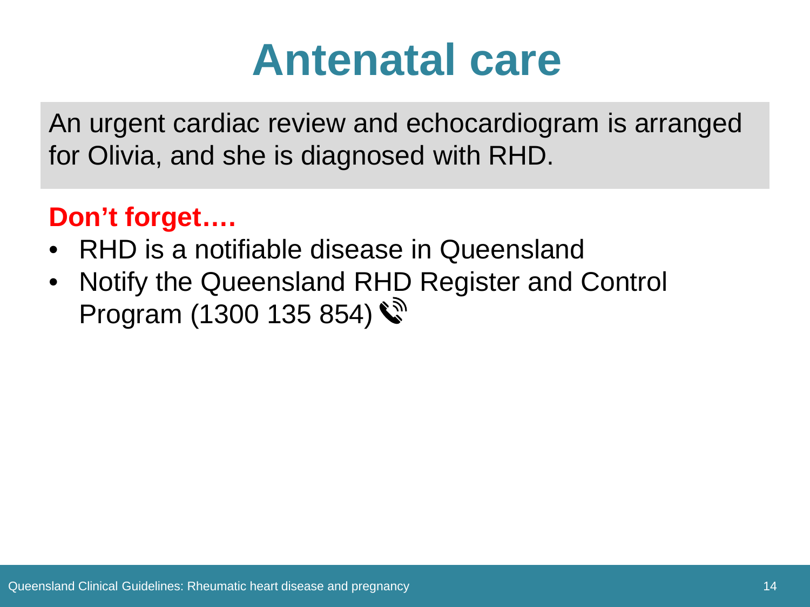### **Antenatal care**

An urgent cardiac review and echocardiogram is arranged for Olivia, and she is diagnosed with RHD.

### **Don't forget….**

- RHD is a notifiable disease in Queensland
- Notify the Queensland RHD Register and Control Program (1300 135 854)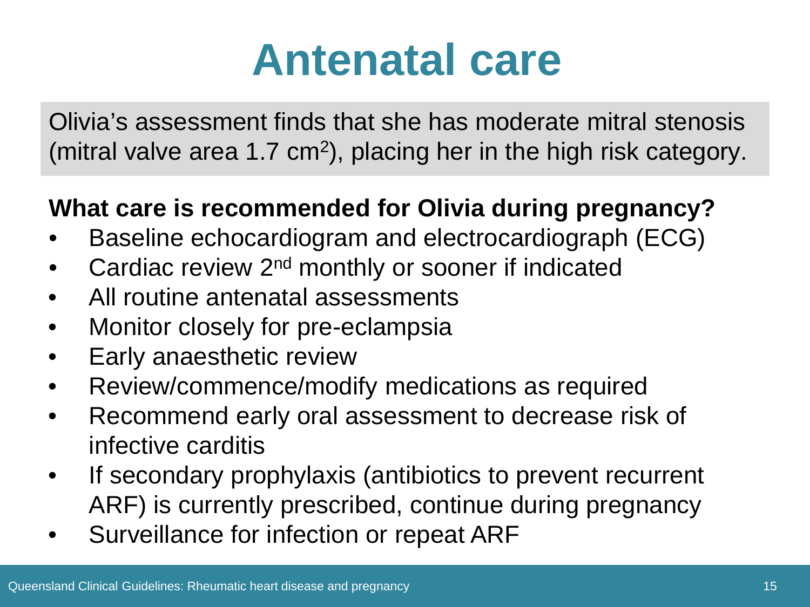### **Antenatal care**

Olivia's assessment finds that she has moderate mitral stenosis (mitral valve area 1.7 cm<sup>2</sup>), placing her in the high risk category.

#### **What care is recommended for Olivia during pregnancy?**

- Baseline echocardiogram and electrocardiograph (ECG)
- Cardiac review 2<sup>nd</sup> monthly or sooner if indicated
- All routine antenatal assessments
- Monitor closely for pre-eclampsia
- Early anaesthetic review
- Review/commence/modify medications as required
- Recommend early oral assessment to decrease risk of infective carditis
- If secondary prophylaxis (antibiotics to prevent recurrent ARF) is currently prescribed, continue during pregnancy
- Surveillance for infection or repeat ARF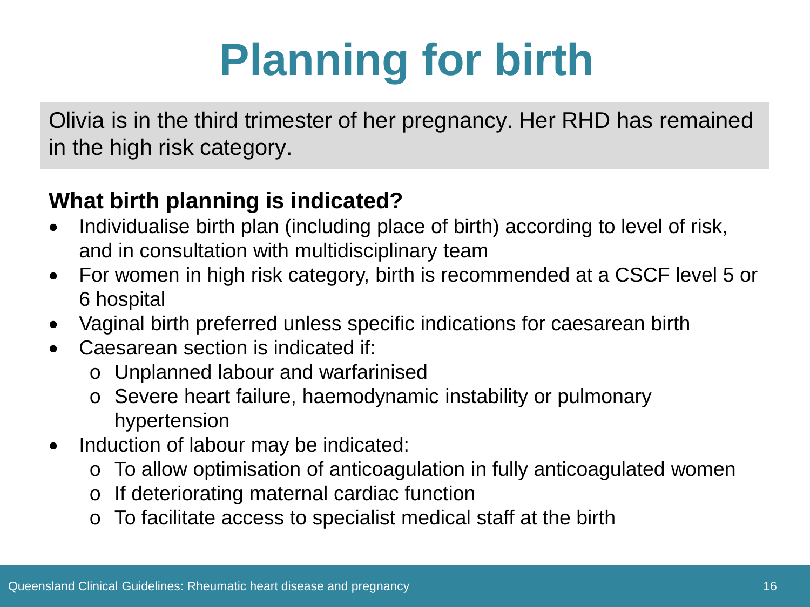# **Planning for birth**

Olivia is in the third trimester of her pregnancy. Her RHD has remained in the high risk category.

#### **What birth planning is indicated?**

- Individualise birth plan (including place of birth) according to level of risk, and in consultation with multidisciplinary team
- For women in high risk category, birth is recommended at a CSCF level 5 or 6 hospital
- Vaginal birth preferred unless specific indications for caesarean birth
- Caesarean section is indicated if:
	- o Unplanned labour and warfarinised
	- o Severe heart failure, haemodynamic instability or pulmonary hypertension
- Induction of labour may be indicated:
	- o To allow optimisation of anticoagulation in fully anticoagulated women
	- o If deteriorating maternal cardiac function
	- o To facilitate access to specialist medical staff at the birth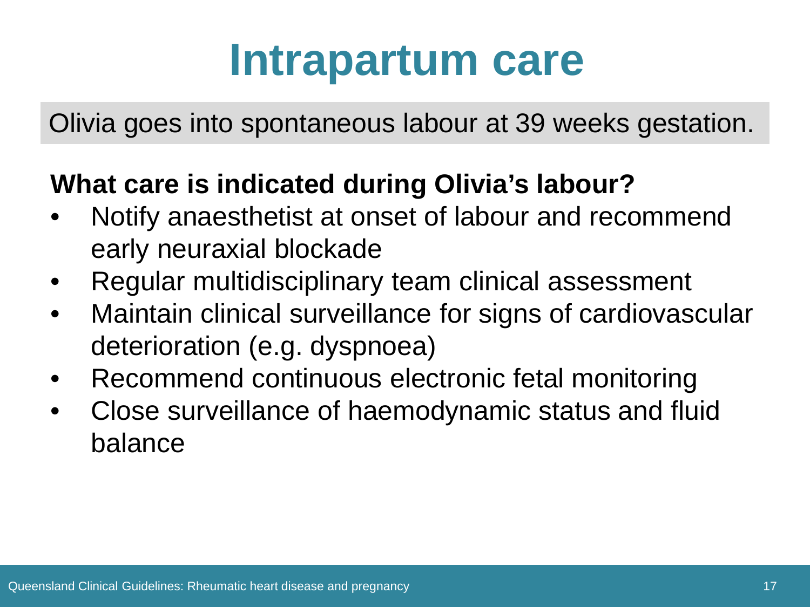### **Intrapartum care**

Olivia goes into spontaneous labour at 39 weeks gestation.

### **What care is indicated during Olivia's labour?**

- Notify anaesthetist at onset of labour and recommend early neuraxial blockade
- Regular multidisciplinary team clinical assessment
- Maintain clinical surveillance for signs of cardiovascular deterioration (e.g. dyspnoea)
- Recommend continuous electronic fetal monitoring
- Close surveillance of haemodynamic status and fluid balance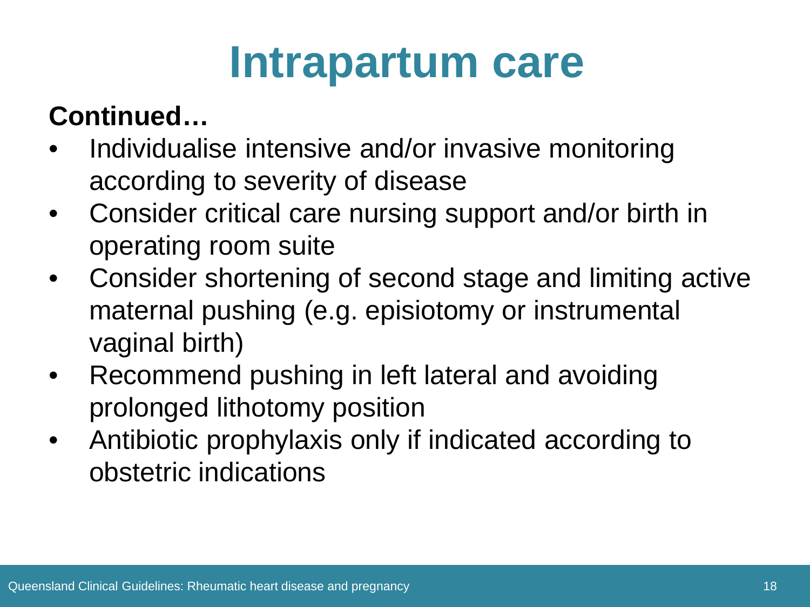### **Intrapartum care**

### **Continued…**

- Individualise intensive and/or invasive monitoring according to severity of disease
- Consider critical care nursing support and/or birth in operating room suite
- Consider shortening of second stage and limiting active maternal pushing (e.g. episiotomy or instrumental vaginal birth)
- Recommend pushing in left lateral and avoiding prolonged lithotomy position
- Antibiotic prophylaxis only if indicated according to obstetric indications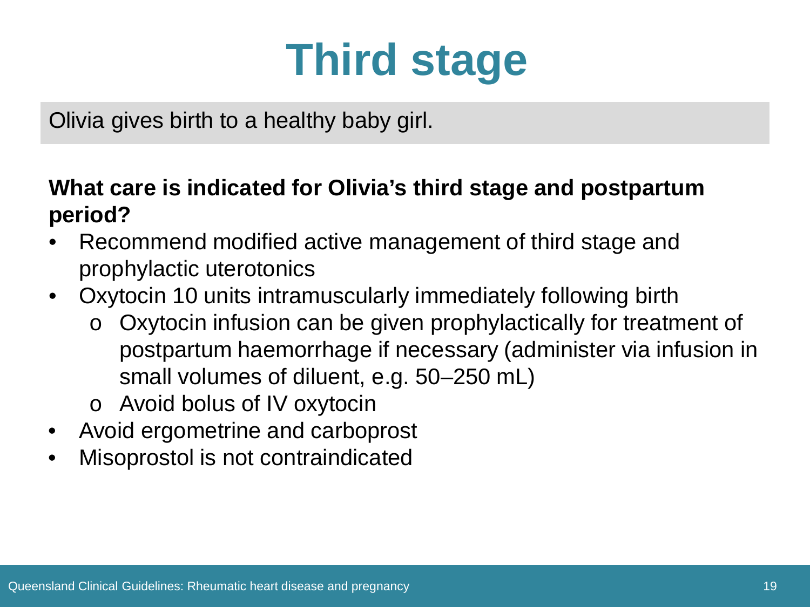## **Third stage**

Olivia gives birth to a healthy baby girl.

#### **What care is indicated for Olivia's third stage and postpartum period?**

- Recommend modified active management of third stage and prophylactic uterotonics
- Oxytocin 10 units intramuscularly immediately following birth
	- o Oxytocin infusion can be given prophylactically for treatment of postpartum haemorrhage if necessary (administer via infusion in small volumes of diluent, e.g. 50–250 mL)
	- o Avoid bolus of IV oxytocin
- Avoid ergometrine and carboprost
- Misoprostol is not contraindicated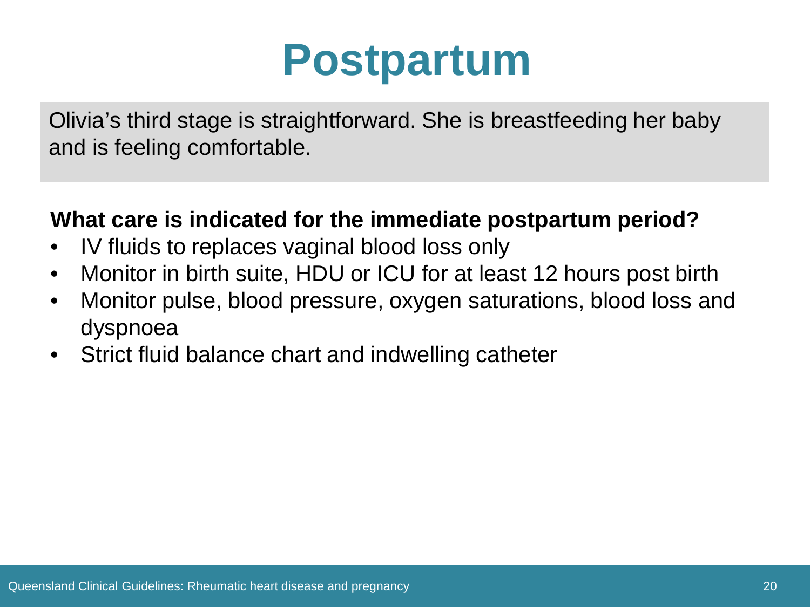### **Postpartum**

Olivia's third stage is straightforward. She is breastfeeding her baby and is feeling comfortable.

#### **What care is indicated for the immediate postpartum period?**

- IV fluids to replaces vaginal blood loss only
- Monitor in birth suite, HDU or ICU for at least 12 hours post birth
- Monitor pulse, blood pressure, oxygen saturations, blood loss and dyspnoea
- Strict fluid balance chart and indwelling catheter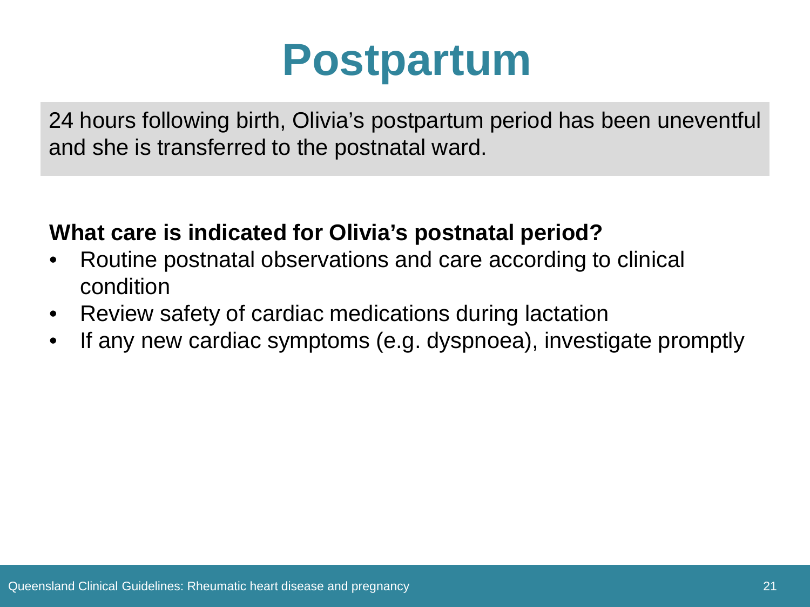### **Postpartum**

24 hours following birth, Olivia's postpartum period has been uneventful and she is transferred to the postnatal ward.

#### **What care is indicated for Olivia's postnatal period?**

- Routine postnatal observations and care according to clinical condition
- Review safety of cardiac medications during lactation
- If any new cardiac symptoms (e.g. dyspnoea), investigate promptly